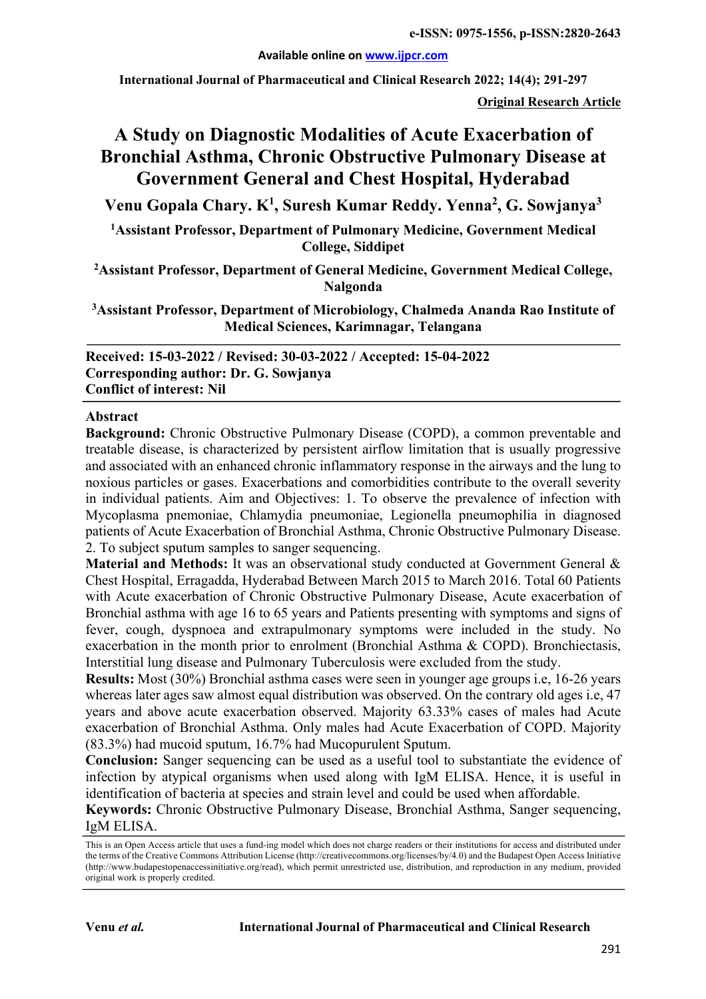**Available online on www.ijpcr.com**

**International Journal of Pharmaceutical and Clinical Research 2022; 14(4); 291-297**

**Original Research Article**

# **A Study on Diagnostic Modalities of Acute Exacerbation of Bronchial Asthma, Chronic Obstructive Pulmonary Disease at Government General and Chest Hospital, Hyderabad**

**Venu Gopala Chary. K1 , Suresh Kumar Reddy. Yenna2 , G. Sowjanya3**

**1 Assistant Professor, Department of Pulmonary Medicine, Government Medical College, Siddipet**

**2 Assistant Professor, Department of General Medicine, Government Medical College, Nalgonda**

**3 Assistant Professor, Department of Microbiology, Chalmeda Ananda Rao Institute of Medical Sciences, Karimnagar, Telangana**

**Received: 15-03-2022 / Revised: 30-03-2022 / Accepted: 15-04-2022 Corresponding author: Dr. G. Sowjanya Conflict of interest: Nil**

#### **Abstract**

**Background:** Chronic Obstructive Pulmonary Disease (COPD), a common preventable and treatable disease, is characterized by persistent airflow limitation that is usually progressive and associated with an enhanced chronic inflammatory response in the airways and the lung to noxious particles or gases. Exacerbations and comorbidities contribute to the overall severity in individual patients. Aim and Objectives: 1. To observe the prevalence of infection with Mycoplasma pnemoniae, Chlamydia pneumoniae, Legionella pneumophilia in diagnosed patients of Acute Exacerbation of Bronchial Asthma, Chronic Obstructive Pulmonary Disease. 2. To subject sputum samples to sanger sequencing.

**Material and Methods:** It was an observational study conducted at Government General & Chest Hospital, Erragadda, Hyderabad Between March 2015 to March 2016. Total 60 Patients with Acute exacerbation of Chronic Obstructive Pulmonary Disease, Acute exacerbation of Bronchial asthma with age 16 to 65 years and Patients presenting with symptoms and signs of fever, cough, dyspnoea and extrapulmonary symptoms were included in the study. No exacerbation in the month prior to enrolment (Bronchial Asthma & COPD). Bronchiectasis, Interstitial lung disease and Pulmonary Tuberculosis were excluded from the study.

**Results:** Most (30%) Bronchial asthma cases were seen in younger age groups i.e, 16-26 years whereas later ages saw almost equal distribution was observed. On the contrary old ages i.e, 47 years and above acute exacerbation observed. Majority 63.33% cases of males had Acute exacerbation of Bronchial Asthma. Only males had Acute Exacerbation of COPD. Majority (83.3%) had mucoid sputum, 16.7% had Mucopurulent Sputum.

**Conclusion:** Sanger sequencing can be used as a useful tool to substantiate the evidence of infection by atypical organisms when used along with IgM ELISA. Hence, it is useful in identification of bacteria at species and strain level and could be used when affordable.

**Keywords:** Chronic Obstructive Pulmonary Disease, Bronchial Asthma, Sanger sequencing, IgM ELISA.

This is an Open Access article that uses a fund-ing model which does not charge readers or their institutions for access and distributed under the terms of the Creative Commons Attribution License (http://creativecommons.org/licenses/by/4.0) and the Budapest Open Access Initiative (http://www.budapestopenaccessinitiative.org/read), which permit unrestricted use, distribution, and reproduction in any medium, provided original work is properly credited.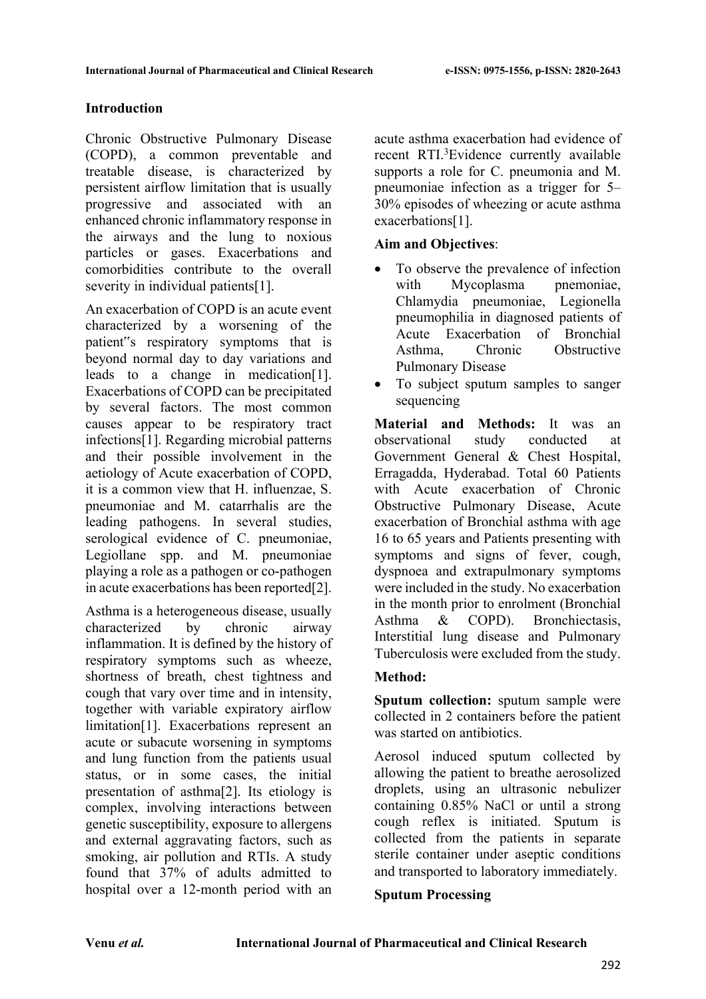# **Introduction**

Chronic Obstructive Pulmonary Disease (COPD), a common preventable and treatable disease, is characterized by persistent airflow limitation that is usually progressive and associated with an enhanced chronic inflammatory response in the airways and the lung to noxious particles or gases. Exacerbations and comorbidities contribute to the overall severity in individual patients[1].

An exacerbation of COPD is an acute event characterized by a worsening of the patient"s respiratory symptoms that is beyond normal day to day variations and leads to a change in medication[1]. Exacerbations of COPD can be precipitated by several factors. The most common causes appear to be respiratory tract infections[1]. Regarding microbial patterns and their possible involvement in the aetiology of Acute exacerbation of COPD, it is a common view that H. influenzae, S. pneumoniae and M. catarrhalis are the leading pathogens. In several studies, serological evidence of C. pneumoniae, Legiollane spp. and M. pneumoniae playing a role as a pathogen or co-pathogen in acute exacerbations has been reported[2].

Asthma is a heterogeneous disease, usually characterized by chronic airway inflammation. It is defined by the history of respiratory symptoms such as wheeze, shortness of breath, chest tightness and cough that vary over time and in intensity, together with variable expiratory airflow limitation[1]. Exacerbations represent an acute or subacute worsening in symptoms and lung function from the patien**t**s usual status, or in some cases, the initial presentation of asthma[2]. Its etiology is complex, involving interactions between genetic susceptibility, exposure to allergens and external aggravating factors, such as smoking, air pollution and RTIs. A study found that 37% of adults admitted to hospital over a 12-month period with an

acute asthma exacerbation had evidence of recent RTI.<sup>3</sup>Evidence currently available supports a role for C. pneumonia and M. pneumoniae infection as a trigger for 5– 30% episodes of wheezing or acute asthma exacerbations[1].

## **Aim and Objectives**:

- To observe the prevalence of infection with Mycoplasma pnemoniae, Chlamydia pneumoniae, Legionella pneumophilia in diagnosed patients of Acute Exacerbation of Bronchial Asthma, Chronic Obstructive Pulmonary Disease
- To subject sputum samples to sanger sequencing

**Material and Methods:** It was an observational study conducted at Government General & Chest Hospital, Erragadda, Hyderabad. Total 60 Patients with Acute exacerbation of Chronic Obstructive Pulmonary Disease, Acute exacerbation of Bronchial asthma with age 16 to 65 years and Patients presenting with symptoms and signs of fever, cough, dyspnoea and extrapulmonary symptoms were included in the study. No exacerbation in the month prior to enrolment (Bronchial Asthma & COPD). Bronchiectasis, Interstitial lung disease and Pulmonary Tuberculosis were excluded from the study.

# **Method:**

**Sputum collection:** sputum sample were collected in 2 containers before the patient was started on antibiotics.

Aerosol induced sputum collected by allowing the patient to breathe aerosolized droplets, using an ultrasonic nebulizer containing 0.85% NaCl or until a strong cough reflex is initiated. Sputum is collected from the patients in separate sterile container under aseptic conditions and transported to laboratory immediately.

#### **Sputum Processing**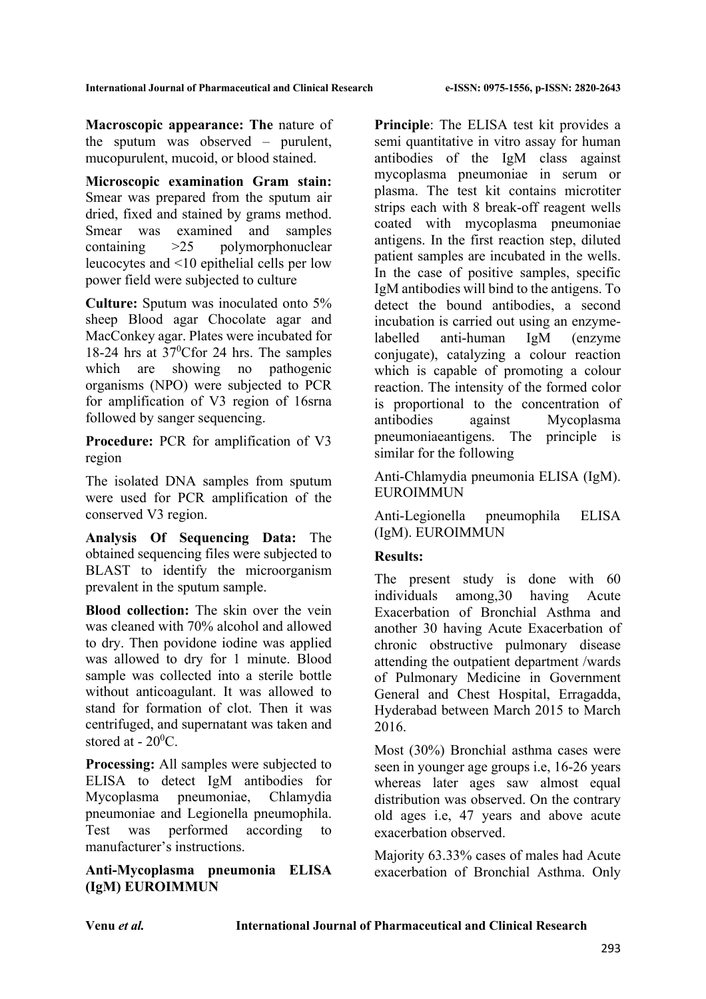**Macroscopic appearance: The** nature of the sputum was observed – purulent, mucopurulent, mucoid, or blood stained.

**Microscopic examination Gram stain:**  Smear was prepared from the sputum air dried, fixed and stained by grams method. Smear was examined and samples containing >25 polymorphonuclear leucocytes and <10 epithelial cells per low power field were subjected to culture

**Culture:** Sputum was inoculated onto 5% sheep Blood agar Chocolate agar and MacConkey agar. Plates were incubated for 18-24 hrs at 37<sup>0</sup>Cfor 24 hrs. The samples which are showing no pathogenic organisms (NPO) were subjected to PCR for amplification of V3 region of 16srna followed by sanger sequencing.

**Procedure:** PCR for amplification of V3 region

The isolated DNA samples from sputum were used for PCR amplification of the conserved V3 region.

**Analysis Of Sequencing Data:** The obtained sequencing files were subjected to BLAST to identify the microorganism prevalent in the sputum sample.

**Blood collection:** The skin over the vein was cleaned with 70% alcohol and allowed to dry. Then povidone iodine was applied was allowed to dry for 1 minute. Blood sample was collected into a sterile bottle without anticoagulant. It was allowed to stand for formation of clot. Then it was centrifuged, and supernatant was taken and stored at -  $20^0$ C.

**Processing:** All samples were subjected to ELISA to detect IgM antibodies for Mycoplasma pneumoniae, Chlamydia pneumoniae and Legionella pneumophila. Test was performed according to manufacturer's instructions.

# **Anti-Mycoplasma pneumonia ELISA (IgM) EUROIMMUN**

**Principle**: The ELISA test kit provides a semi quantitative in vitro assay for human antibodies of the IgM class against mycoplasma pneumoniae in serum or plasma. The test kit contains microtiter strips each with 8 break-off reagent wells coated with mycoplasma pneumoniae antigens. In the first reaction step, diluted patient samples are incubated in the wells. In the case of positive samples, specific IgM antibodies will bind to the antigens. To detect the bound antibodies, a second incubation is carried out using an enzymelabelled anti-human IgM (enzyme conjugate), catalyzing a colour reaction which is capable of promoting a colour reaction. The intensity of the formed color is proportional to the concentration of antibodies against Mycoplasma pneumoniaeantigens. The principle is similar for the following

Anti-Chlamydia pneumonia ELISA (IgM). EUROIMMUN

Anti-Legionella pneumophila ELISA (IgM). EUROIMMUN

# **Results:**

The present study is done with 60 individuals among,30 having Acute Exacerbation of Bronchial Asthma and another 30 having Acute Exacerbation of chronic obstructive pulmonary disease attending the outpatient department /wards of Pulmonary Medicine in Government General and Chest Hospital, Erragadda, Hyderabad between March 2015 to March 2016.

Most (30%) Bronchial asthma cases were seen in younger age groups i.e, 16-26 years whereas later ages saw almost equal distribution was observed. On the contrary old ages i.e, 47 years and above acute exacerbation observed.

Majority 63.33% cases of males had Acute exacerbation of Bronchial Asthma. Only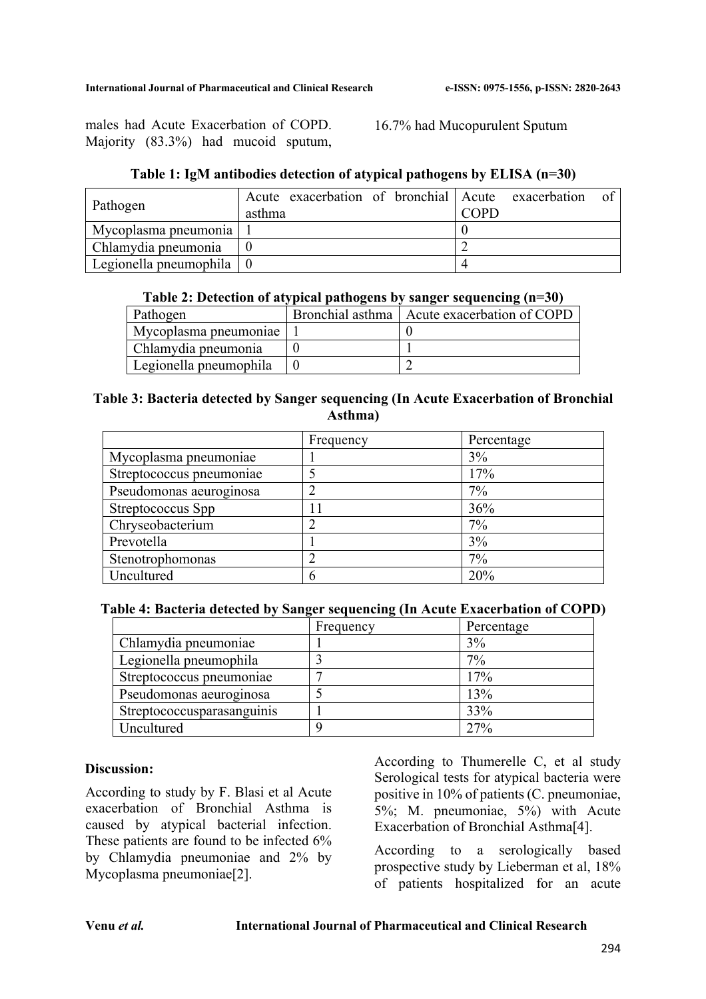males had Acute Exacerbation of COPD. Majority (83.3%) had mucoid sputum,

16.7% had Mucopurulent Sputum

| Table 1: IgM antibodies detection of atypical pathogens by ELISA (n=30) |  |  |
|-------------------------------------------------------------------------|--|--|
|                                                                         |  |  |

| Pathogen                               | Acute exacerbation of bronchial Acute exacerbation<br>asthma | $\overline{0}$<br>$\cap$ PD |
|----------------------------------------|--------------------------------------------------------------|-----------------------------|
| Mycoplasma pneumonia                   |                                                              |                             |
| Chlamydia pneumonia                    |                                                              |                             |
| Legionella pneumophila $\vert 0 \vert$ |                                                              |                             |

#### **Table 2: Detection of atypical pathogens by sanger sequencing (n=30)**

| Pathogen               | Bronchial asthma   Acute exacerbation of COPD |
|------------------------|-----------------------------------------------|
| Mycoplasma pneumoniae  |                                               |
| Chlamydia pneumonia    |                                               |
| Legionella pneumophila |                                               |

## **Table 3: Bacteria detected by Sanger sequencing (In Acute Exacerbation of Bronchial Asthma)**

|                          | Frequency | Percentage |
|--------------------------|-----------|------------|
| Mycoplasma pneumoniae    |           | 3%         |
| Streptococcus pneumoniae |           | 17%        |
| Pseudomonas aeuroginosa  |           | 7%         |
| Streptococcus Spp        |           | 36%        |
| Chryseobacterium         |           | 7%         |
| Prevotella               |           | 3%         |
| Stenotrophomonas         |           | 7%         |
| Uncultured               |           | 20%        |

#### **Table 4: Bacteria detected by Sanger sequencing (In Acute Exacerbation of COPD)**

|                            | Frequency | Percentage |
|----------------------------|-----------|------------|
| Chlamydia pneumoniae       |           | 3%         |
| Legionella pneumophila     |           | $7\%$      |
| Streptococcus pneumoniae   |           | 17%        |
| Pseudomonas aeuroginosa    |           | 13%        |
| Streptococcusparasanguinis |           | 33%        |
| Uncultured                 |           | 27%        |

#### **Discussion:**

According to study by F. Blasi et al Acute exacerbation of Bronchial Asthma is caused by atypical bacterial infection. These patients are found to be infected 6% by Chlamydia pneumoniae and 2% by Mycoplasma pneumoniae[2].

According to Thumerelle C, et al study Serological tests for atypical bacteria were positive in 10% of patients (C. pneumoniae, 5%; M. pneumoniae, 5%) with Acute Exacerbation of Bronchial Asthma[4].

According to a serologically based prospective study by Lieberman et al, 18% of patients hospitalized for an acute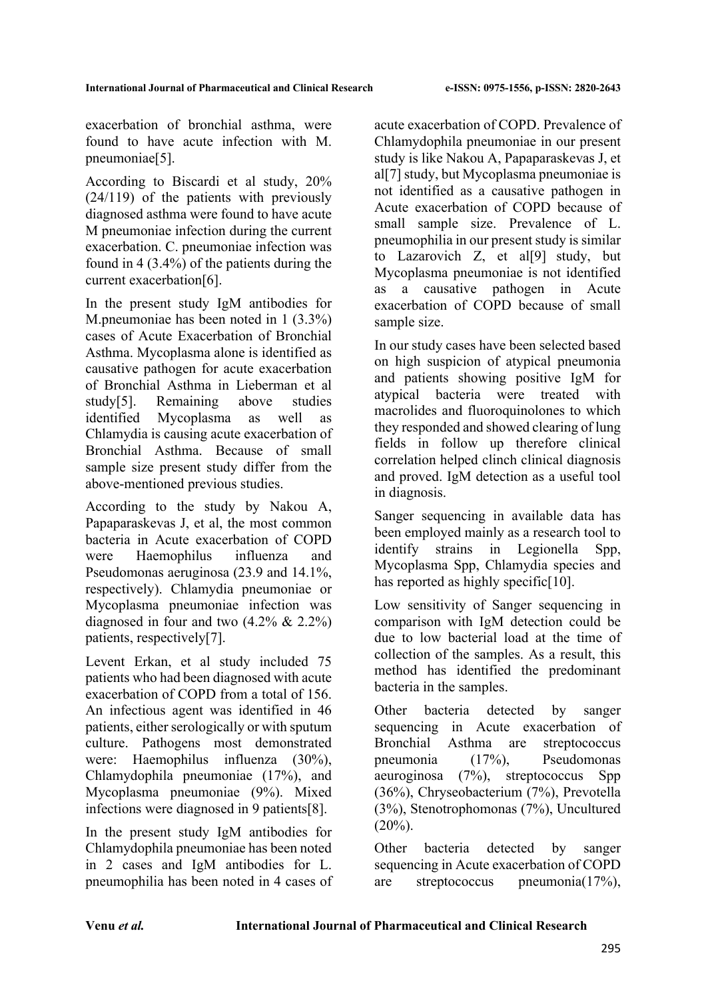exacerbation of bronchial asthma, were found to have acute infection with M. pneumoniae[5].

According to Biscardi et al study, 20% (24/119) of the patients with previously diagnosed asthma were found to have acute M pneumoniae infection during the current exacerbation. C. pneumoniae infection was found in 4 (3.4%) of the patients during the current exacerbation[6].

In the present study IgM antibodies for M.pneumoniae has been noted in 1 (3.3%) cases of Acute Exacerbation of Bronchial Asthma. Mycoplasma alone is identified as causative pathogen for acute exacerbation of Bronchial Asthma in Lieberman et al study[5]. Remaining above studies identified Mycoplasma as well as Chlamydia is causing acute exacerbation of Bronchial Asthma. Because of small sample size present study differ from the above-mentioned previous studies.

According to the study by Nakou A, Papaparaskevas J, et al, the most common bacteria in Acute exacerbation of COPD were Haemophilus influenza and Pseudomonas aeruginosa (23.9 and 14.1%, respectively). Chlamydia pneumoniae or Mycoplasma pneumoniae infection was diagnosed in four and two (4.2% & 2.2%) patients, respectively[7].

Levent Erkan, et al study included 75 patients who had been diagnosed with acute exacerbation of COPD from a total of 156. An infectious agent was identified in 46 patients, either serologically or with sputum culture. Pathogens most demonstrated were: Haemophilus influenza (30%), Chlamydophila pneumoniae (17%), and Mycoplasma pneumoniae (9%). Mixed infections were diagnosed in 9 patients[8].

In the present study IgM antibodies for Chlamydophila pneumoniae has been noted in 2 cases and IgM antibodies for L. pneumophilia has been noted in 4 cases of acute exacerbation of COPD. Prevalence of Chlamydophila pneumoniae in our present study is like Nakou A, Papaparaskevas J, et al[7] study, but Mycoplasma pneumoniae is not identified as a causative pathogen in Acute exacerbation of COPD because of small sample size. Prevalence of L. pneumophilia in our present study is similar to Lazarovich Z, et al[9] study, but Mycoplasma pneumoniae is not identified as a causative pathogen in Acute exacerbation of COPD because of small sample size.

In our study cases have been selected based on high suspicion of atypical pneumonia and patients showing positive IgM for atypical bacteria were treated with macrolides and fluoroquinolones to which they responded and showed clearing of lung fields in follow up therefore clinical correlation helped clinch clinical diagnosis and proved. IgM detection as a useful tool in diagnosis.

Sanger sequencing in available data has been employed mainly as a research tool to identify strains in Legionella Spp, Mycoplasma Spp, Chlamydia species and has reported as highly specific<sup>[10]</sup>.

Low sensitivity of Sanger sequencing in comparison with IgM detection could be due to low bacterial load at the time of collection of the samples. As a result, this method has identified the predominant bacteria in the samples.

Other bacteria detected by sanger sequencing in Acute exacerbation of Bronchial Asthma are streptococcus pneumonia (17%), Pseudomonas aeuroginosa (7%), streptococcus Spp (36%), Chryseobacterium (7%), Prevotella (3%), Stenotrophomonas (7%), Uncultured  $(20\%)$ .

Other bacteria detected by sanger sequencing in Acute exacerbation of COPD are streptococcus pneumonia(17%),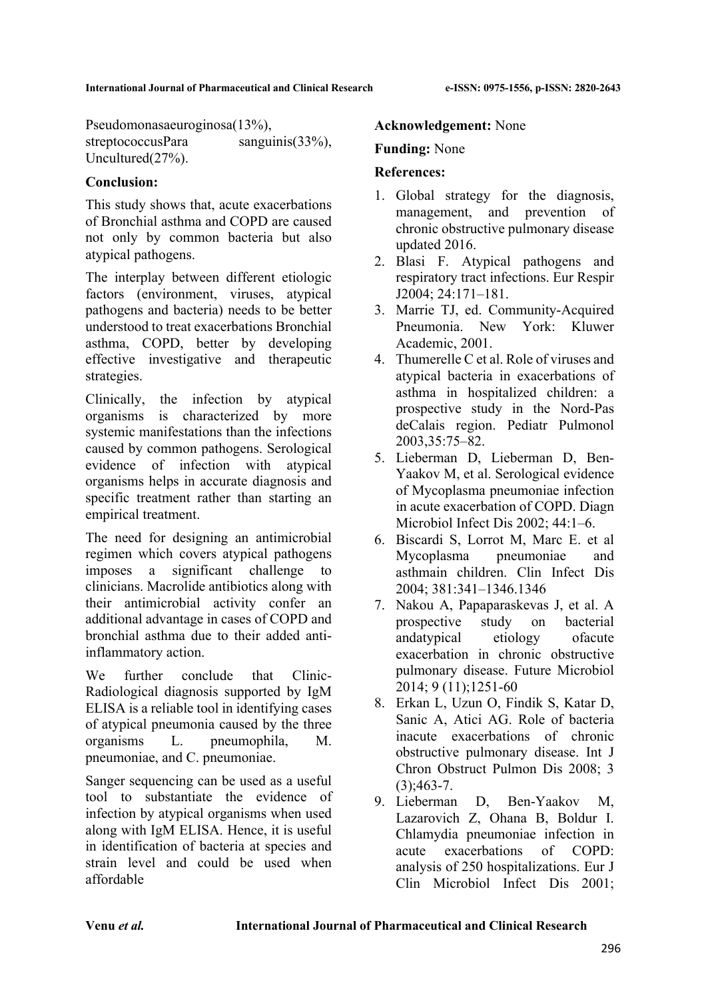Pseudomonasaeuroginosa(13%), streptococcusPara sanguinis(33%), Uncultured(27%).

## **Conclusion:**

This study shows that, acute exacerbations of Bronchial asthma and COPD are caused not only by common bacteria but also atypical pathogens.

The interplay between different etiologic factors (environment, viruses, atypical pathogens and bacteria) needs to be better understood to treat exacerbations Bronchial asthma, COPD, better by developing effective investigative and therapeutic strategies.

Clinically, the infection by atypical organisms is characterized by more systemic manifestations than the infections caused by common pathogens. Serological evidence of infection with atypical organisms helps in accurate diagnosis and specific treatment rather than starting an empirical treatment.

The need for designing an antimicrobial regimen which covers atypical pathogens imposes a significant challenge to clinicians. Macrolide antibiotics along with their antimicrobial activity confer an additional advantage in cases of COPD and bronchial asthma due to their added antiinflammatory action.

We further conclude that Clinic-Radiological diagnosis supported by IgM ELISA is a reliable tool in identifying cases of atypical pneumonia caused by the three organisms L. pneumophila, M. pneumoniae, and C. pneumoniae.

Sanger sequencing can be used as a useful tool to substantiate the evidence of infection by atypical organisms when used along with IgM ELISA. Hence, it is useful in identification of bacteria at species and strain level and could be used when affordable

#### **Acknowledgement:** None

#### **Funding:** None

#### **References:**

- 1. Global strategy for the diagnosis, management, and prevention of chronic obstructive pulmonary disease updated 2016.
- 2. Blasi F. Atypical pathogens and respiratory tract infections. Eur Respir J2004; 24:171–181.
- 3. Marrie TJ, ed. Community-Acquired Pneumonia. New York: Kluwer Academic, 2001.
- 4. Thumerelle C et al. Role of viruses and atypical bacteria in exacerbations of asthma in hospitalized children: a prospective study in the Nord-Pas deCalais region. Pediatr Pulmonol 2003,35:75–82.
- 5. Lieberman D, Lieberman D, Ben-Yaakov M, et al. Serological evidence of Mycoplasma pneumoniae infection in acute exacerbation of COPD. Diagn Microbiol Infect Dis 2002; 44:1–6.
- 6. Biscardi S, Lorrot M, Marc E. et al Mycoplasma pneumoniae and asthmain children. Clin Infect Dis 2004; 381:341–1346.1346
- 7. Nakou A, Papaparaskevas J, et al. A prospective study on bacterial andatypical etiology ofacute exacerbation in chronic obstructive pulmonary disease. Future Microbiol 2014; 9 (11);1251-60
- 8. Erkan L, Uzun O, Findik S, Katar D, Sanic A, Atici AG. Role of bacteria inacute exacerbations of chronic obstructive pulmonary disease. Int J Chron Obstruct Pulmon Dis 2008; 3  $(3):463-7.$
- 9. Lieberman D, Ben-Yaakov M, Lazarovich Z, Ohana B, Boldur I. Chlamydia pneumoniae infection in acute exacerbations of COPD: analysis of 250 hospitalizations. Eur J Clin Microbiol Infect Dis 2001;